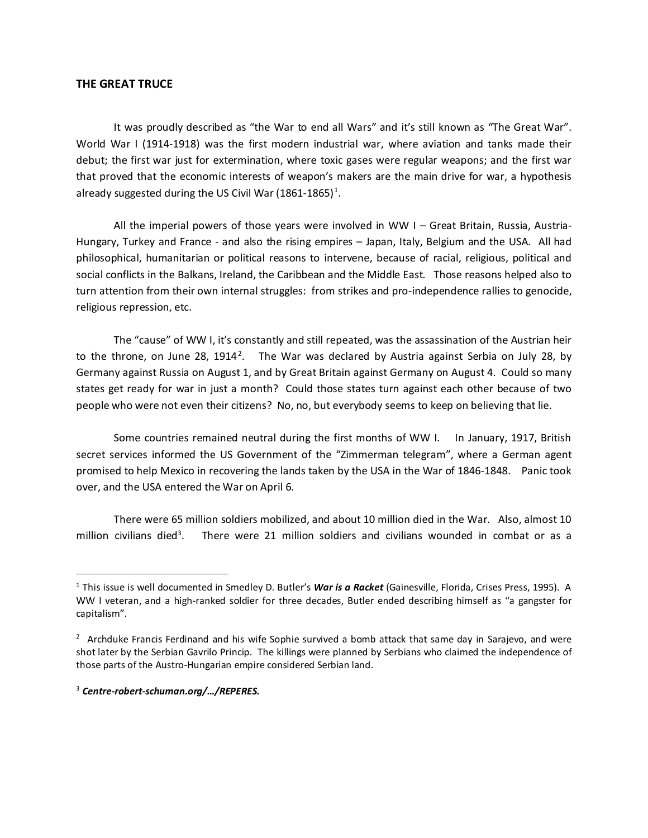## **THE GREAT TRUCE**

It was proudly described as "the War to end all Wars" and it's still known as "The Great War". World War I (1914-1918) was the first modern industrial war, where aviation and tanks made their debut; the first war just for extermination, where toxic gases were regular weapons; and the first war that proved that the economic interests of weapon's makers are the main drive for war, a hypothesis already suggested during the US Civil War ([1](#page-0-0)861-1865)<sup>1</sup>.

All the imperial powers of those years were involved in WW I – Great Britain, Russia, Austria-Hungary, Turkey and France - and also the rising empires – Japan, Italy, Belgium and the USA. All had philosophical, humanitarian or political reasons to intervene, because of racial, religious, political and social conflicts in the Balkans, Ireland, the Caribbean and the Middle East. Those reasons helped also to turn attention from their own internal struggles: from strikes and pro-independence rallies to genocide, religious repression, etc.

The "cause" of WW I, it's constantly and still repeated, was the assassination of the Austrian heir to the throne, on June [2](#page-0-1)8, 1914<sup>2</sup>. The War was declared by Austria against Serbia on July 28, by Germany against Russia on August 1, and by Great Britain against Germany on August 4. Could so many states get ready for war in just a month? Could those states turn against each other because of two people who were not even their citizens? No, no, but everybody seems to keep on believing that lie.

Some countries remained neutral during the first months of WW I. In January, 1917, British secret services informed the US Government of the "Zimmerman telegram", where a German agent promised to help Mexico in recovering the lands taken by the USA in the War of 1846-1848. Panic took over, and the USA entered the War on April 6.

There were 65 million soldiers mobilized, and about 10 million died in the War. Also, almost 10 million civilians died<sup>[3](#page-0-2)</sup>. There were 21 million soldiers and civilians wounded in combat or as a

 $\overline{a}$ 

<span id="page-0-0"></span><sup>&</sup>lt;sup>1</sup> This issue is well documented in Smedley D. Butler's War is a Racket (Gainesville, Florida, Crises Press, 1995). A WW I veteran, and a high-ranked soldier for three decades, Butler ended describing himself as "a gangster for capitalism".

<span id="page-0-1"></span><sup>&</sup>lt;sup>2</sup> Archduke Francis Ferdinand and his wife Sophie survived a bomb attack that same day in Sarajevo, and were shot later by the Serbian Gavrilo Princip. The killings were planned by Serbians who claimed the independence of those parts of the Austro-Hungarian empire considered Serbian land.

<span id="page-0-2"></span><sup>3</sup> *Centre-robert-schuman.org/…/REPERES.*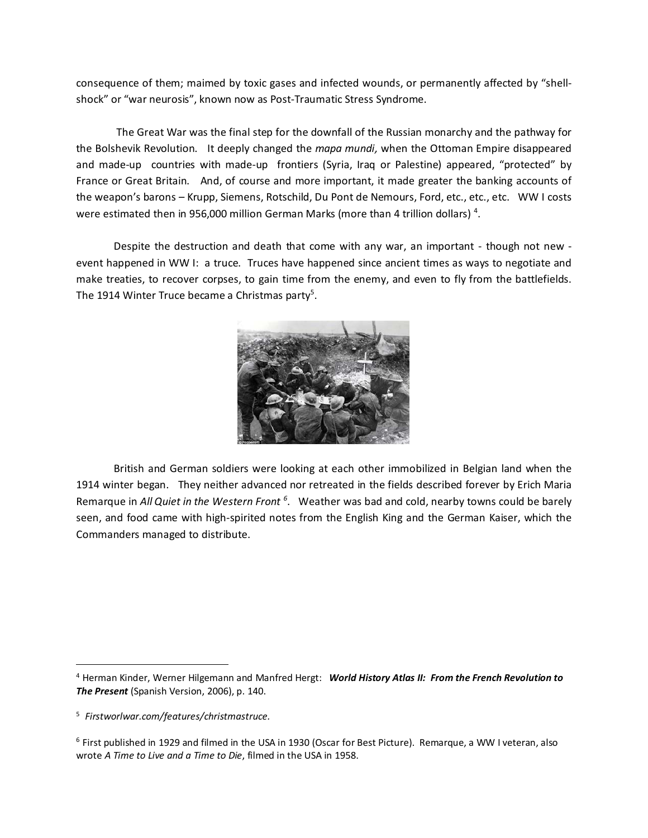consequence of them; maimed by toxic gases and infected wounds, or permanently affected by "shellshock" or "war neurosis", known now as Post-Traumatic Stress Syndrome.

The Great War was the final step for the downfall of the Russian monarchy and the pathway for the Bolshevik Revolution. It deeply changed the *mapa mundi,* when the Ottoman Empire disappeared and made-up countries with made-up frontiers (Syria, Iraq or Palestine) appeared, "protected" by France or Great Britain. And, of course and more important, it made greater the banking accounts of the weapon's barons - Krupp, Siemens, Rotschild, Du Pont de Nemours, Ford, etc., etc., etc. WW I costs were estimated then in 956,000 million German Marks (more than [4](#page-1-0) trillion dollars)<sup>4</sup>.

Despite the destruction and death that come with any war, an important - though not new event happened in WW I: a truce. Truces have happened since ancient times as ways to negotiate and make treaties, to recover corpses, to gain time from the enemy, and even to fly from the battlefields. The 1914 Winter Truce became a Christmas party<sup>[5](#page-1-1)</sup>.



British and German soldiers were looking at each other immobilized in Belgian land when the 1914 winter began. They neither advanced nor retreated in the fields described forever by Erich Maria Remarque in All Quiet in the Western Front <sup>[6](#page-1-2)</sup>. Weather was bad and cold, nearby towns could be barely seen, and food came with high-spirited notes from the English King and the German Kaiser, which the Commanders managed to distribute.

 $\overline{a}$ 

<span id="page-1-0"></span><sup>4</sup> Herman Kinder, Werner Hilgemann and Manfred Hergt: *World History Atlas II: From the French Revolution to The Present* (Spanish Version, 2006), p. 140.

<span id="page-1-1"></span><sup>5</sup> *Firstworlwar.com/features/christmastruce.*

<span id="page-1-2"></span><sup>6</sup> First published in 1929 and filmed in the USA in 1930 (Oscar for Best Picture). Remarque, a WW I veteran, also wrote *A Time to Live and a Time to Die*, filmed in the USA in 1958.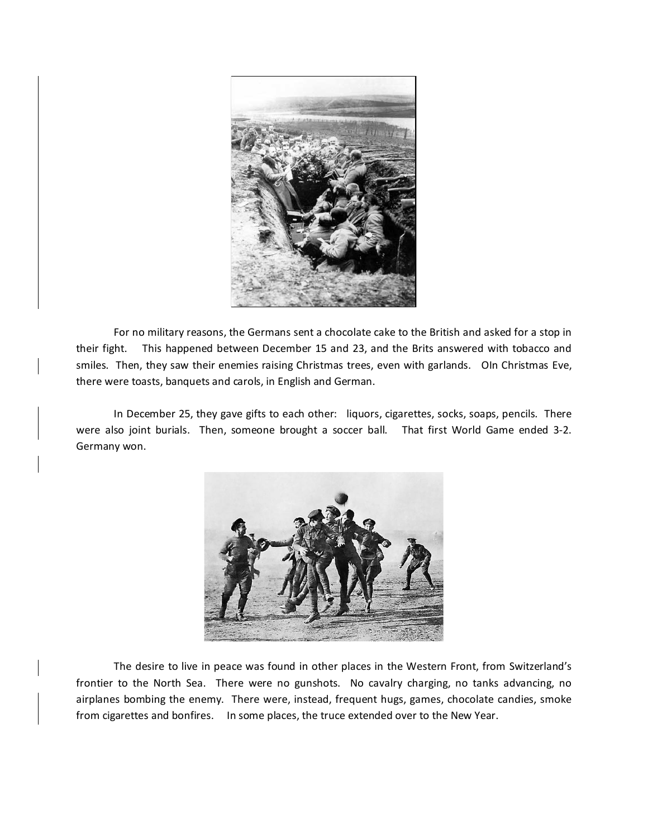

For no military reasons, the Germans sent a chocolate cake to the British and asked for a stop in their fight. This happened between December 15 and 23, and the Brits answered with tobacco and smiles. Then, they saw their enemies raising Christmas trees, even with garlands. OIn Christmas Eve, there were toasts, banquets and carols, in English and German.

In December 25, they gave gifts to each other: liquors, cigarettes, socks, soaps, pencils. There were also joint burials. Then, someone brought a soccer ball. That first World Game ended 3-2. Germany won.



The desire to live in peace was found in other places in the Western Front, from Switzerland's frontier to the North Sea. There were no gunshots. No cavalry charging, no tanks advancing, no airplanes bombing the enemy. There were, instead, frequent hugs, games, chocolate candies, smoke from cigarettes and bonfires. In some places, the truce extended over to the New Year.